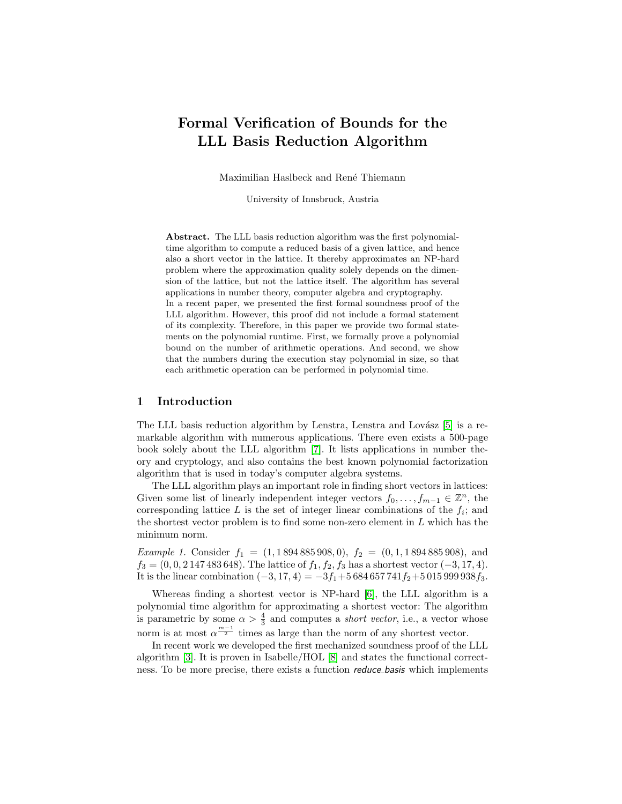# Formal Verification of Bounds for the LLL Basis Reduction Algorithm

Maximilian Haslbeck and René Thiemann

University of Innsbruck, Austria

Abstract. The LLL basis reduction algorithm was the first polynomialtime algorithm to compute a reduced basis of a given lattice, and hence also a short vector in the lattice. It thereby approximates an NP-hard problem where the approximation quality solely depends on the dimension of the lattice, but not the lattice itself. The algorithm has several applications in number theory, computer algebra and cryptography. In a recent paper, we presented the first formal soundness proof of the LLL algorithm. However, this proof did not include a formal statement of its complexity. Therefore, in this paper we provide two formal statements on the polynomial runtime. First, we formally prove a polynomial bound on the number of arithmetic operations. And second, we show that the numbers during the execution stay polynomial in size, so that each arithmetic operation can be performed in polynomial time.

# 1 Introduction

The LLL basis reduction algorithm by Lenstra, Lenstra and Lovász  $[5]$  is a remarkable algorithm with numerous applications. There even exists a 500-page book solely about the LLL algorithm [\[7\]](#page-11-1). It lists applications in number theory and cryptology, and also contains the best known polynomial factorization algorithm that is used in today's computer algebra systems.

The LLL algorithm plays an important role in finding short vectors in lattices: Given some list of linearly independent integer vectors  $f_0, \ldots, f_{m-1} \in \mathbb{Z}^n$ , the corresponding lattice  $L$  is the set of integer linear combinations of the  $f_i$ ; and the shortest vector problem is to find some non-zero element in L which has the minimum norm.

Example 1. Consider  $f_1 = (1, 1894885908, 0), f_2 = (0, 1, 1894885908),$  and  $f_3 = (0, 0, 2, 147, 483, 648)$ . The lattice of  $f_1, f_2, f_3$  has a shortest vector  $(-3, 17, 4)$ . It is the linear combination  $(-3, 17, 4) = -3f_1 + 5684657741f_2 + 5015999938f_3$ .

Whereas finding a shortest vector is NP-hard [\[6\]](#page-11-2), the LLL algorithm is a polynomial time algorithm for approximating a shortest vector: The algorithm is parametric by some  $\alpha > \frac{4}{3}$  and computes a *short vector*, i.e., a vector whose norm is at most  $\alpha^{\frac{m-1}{2}}$  times as large than the norm of any shortest vector.

In recent work we developed the first mechanized soundness proof of the LLL algorithm [\[3\]](#page-11-3). It is proven in Isabelle/HOL [\[8\]](#page-11-4) and states the functional correctness. To be more precise, there exists a function *reduce\_basis* which implements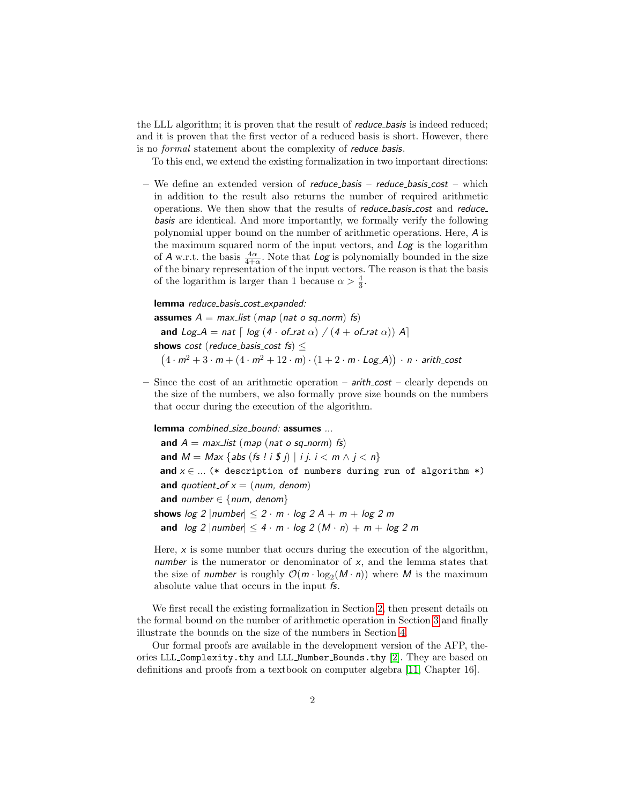the LLL algorithm; it is proven that the result of *reduce\_basis* is indeed reduced; and it is proven that the first vector of a reduced basis is short. However, there is no formal statement about the complexity of reduce basis.

To this end, we extend the existing formalization in two important directions:

– We define an extended version of reduce basis – reduce basis cost – which in addition to the result also returns the number of required arithmetic operations. We then show that the results of *reduce* basis cost and *reduce* basis are identical. And more importantly, we formally verify the following polynomial upper bound on the number of arithmetic operations. Here, A is the maximum squared norm of the input vectors, and Log is the logarithm of A w.r.t. the basis  $\frac{4\alpha}{4+\alpha}$ . Note that  $\text{Log}$  is polynomially bounded in the size of the binary representation of the input vectors. The reason is that the basis of the logarithm is larger than 1 because  $\alpha > \frac{4}{3}$ .

lemma reduce\_basis\_cost\_expanded: assumes  $A = max\_list$  (map (nat o sq\_norm) fs)

and Log  $A = nat \int log (4 \cdot of_{-}rat \alpha) / (4 + of_{-}rat \alpha))$  A shows cost (reduce\_basis\_cost fs)  $\leq$  $(4 \cdot m^2 + 3 \cdot m + (4 \cdot m^2 + 12 \cdot m) \cdot (1 + 2 \cdot m \cdot Log A)) \cdot n \cdot$  arith\_cost

– Since the cost of an arithmetic operation –  $\frac{arith\cos t}{ }$  – clearly depends on the size of the numbers, we also formally prove size bounds on the numbers that occur during the execution of the algorithm.

lemma combined\_size\_bound: assumes ...

and  $A = max_list$  (map (nat o sq\_norm) fs) and  $M = Max \{abs (fs \mid i \$ j) \mid i j. i < m \land j < n\}$ and  $x \in ...$  (\* description of numbers during run of algorithm \*) and quotient of  $x = (num, denom)$ and number  $\in$  {num, denom} shows  $log 2$  |number|  $\leq 2 \cdot m \cdot log 2 A + m + log 2 m$ and  $log 2$  |number|  $\leq 4 \cdot m \cdot log 2 (M \cdot n) + m + log 2 m$ 

Here,  $x$  is some number that occurs during the execution of the algorithm, number is the numerator or denominator of  $x$ , and the lemma states that the size of *number* is roughly  $\mathcal{O}(m \cdot \log_2(M \cdot n))$  where M is the maximum absolute value that occurs in the input fs.

We first recall the existing formalization in Section [2,](#page-2-0) then present details on the formal bound on the number of arithmetic operation in Section [3](#page-4-0) and finally illustrate the bounds on the size of the numbers in Section [4.](#page-7-0)

Our formal proofs are available in the development version of the AFP, theories LLL Complexity.thy and LLL Number Bounds.thy [\[2\]](#page-11-5). They are based on definitions and proofs from a textbook on computer algebra [\[11,](#page-11-6) Chapter 16].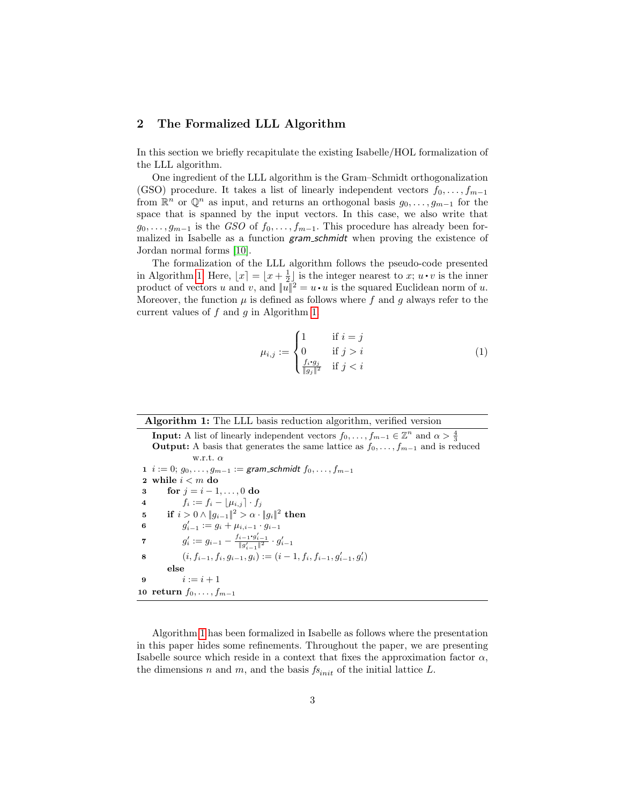## <span id="page-2-0"></span>2 The Formalized LLL Algorithm

In this section we briefly recapitulate the existing Isabelle/HOL formalization of the LLL algorithm.

One ingredient of the LLL algorithm is the Gram–Schmidt orthogonalization (GSO) procedure. It takes a list of linearly independent vectors  $f_0, \ldots, f_{m-1}$ from  $\mathbb{R}^n$  or  $\mathbb{Q}^n$  as input, and returns an orthogonal basis  $g_0, \ldots, g_{m-1}$  for the space that is spanned by the input vectors. In this case, we also write that  $g_0, \ldots, g_{m-1}$  is the GSO of  $f_0, \ldots, f_{m-1}$ . This procedure has already been formalized in Isabelle as a function gram schmidt when proving the existence of Jordan normal forms [\[10\]](#page-11-7).

The formalization of the LLL algorithm follows the pseudo-code presented in Algorithm [1.](#page-2-1) Here,  $\lfloor x \rfloor = \lfloor x + \frac{1}{2} \rfloor$  is the integer nearest to x;  $u \cdot v$  is the inner product of vectors u and v, and  $||u||^2 = u \cdot u$  is the squared Euclidean norm of u. Moreover, the function  $\mu$  is defined as follows where f and q always refer to the current values of  $f$  and  $g$  in Algorithm [1.](#page-2-1)

<span id="page-2-7"></span>
$$
\mu_{i,j} := \begin{cases}\n1 & \text{if } i = j \\
0 & \text{if } j > i \\
\frac{f_i \cdot g_j}{\|g_j\|^2} & \text{if } j < i\n\end{cases}
$$
\n(1)

#### Algorithm 1: The LLL basis reduction algorithm, verified version

<span id="page-2-6"></span><span id="page-2-4"></span><span id="page-2-2"></span><span id="page-2-1"></span>**Input:** A list of linearly independent vectors  $f_0, \ldots, f_{m-1} \in \mathbb{Z}^n$  and  $\alpha > \frac{4}{3}$ **Output:** A basis that generates the same lattice as  $f_0, \ldots, f_{m-1}$  and is reduced w.r.t.  $\alpha$ 1  $i := 0; g_0, \ldots, g_{m-1} := \text{gram\_schmidt } f_0, \ldots, f_{m-1}$ 2 while  $i < m$  do 3 for  $j = i - 1, ..., 0$  do 4  $f_i := f_i - \lfloor \mu_{i,j} \rfloor \cdot f_j$  $\quad \quad \textbf{if} \ \ i>0 \wedge \|g_{i-1}\|^2 > \alpha \cdot \|g_i\|^2 \ \textbf{then}$ 6  $g'_{i-1} := g_i + \mu_{i,i-1} \cdot g_{i-1}$ 7  $g'_i := g_{i-1} - \frac{f_{i-1} \cdot g'_{i-1}}{\|g'_{i-1}\|^2} \cdot g'_{i-1}$ 8  $(i, f_{i-1}, f_i, g_{i-1}, g_i) := (i - 1, f_i, f_{i-1}, g'_{i-1}, g'_i)$ else 9  $i := i + 1$ 10 return  $f_0, \ldots, f_{m-1}$ 

<span id="page-2-5"></span><span id="page-2-3"></span>Algorithm [1](#page-2-1) has been formalized in Isabelle as follows where the presentation in this paper hides some refinements. Throughout the paper, we are presenting Isabelle source which reside in a context that fixes the approximation factor  $\alpha$ , the dimensions n and m, and the basis  $f_{s_{init}}$  of the initial lattice L.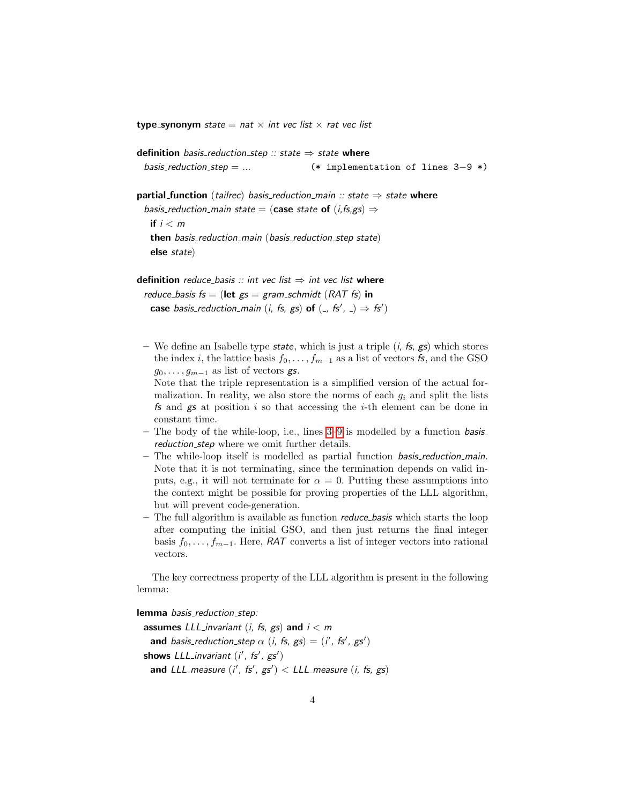**type\_synonym** state = nat  $\times$  int vec list  $\times$  rat vec list

definition *basis\_reduction\_step* :: state  $\Rightarrow$  state where basis reduction step = ... (\* implementation of lines 3−9 \*)

partial function (tailrec) basis reduction main :: state  $\Rightarrow$  state where basis\_reduction\_main state = (case state of  $(i, fs, gs) \Rightarrow$ if  $i < m$ then basis reduction main (basis reduction step state) else state)

definition reduce\_basis :: int vec list  $\Rightarrow$  int vec list where reduce basis  $fs = (let g_s = gram\_schmidt (RAT fs) in$ 

case basis\_reduction\_main (i, fs, gs) of  $($ , fs',  $) \Rightarrow f$ s')

– We define an Isabelle type state, which is just a triple  $(i, fs, gs)$  which stores the index i, the lattice basis  $f_0, \ldots, f_{m-1}$  as a list of vectors fs, and the GSO  $g_0, \ldots, g_{m-1}$  as list of vectors gs.

Note that the triple representation is a simplified version of the actual formalization. In reality, we also store the norms of each  $g_i$  and split the lists fs and  $gs$  at position i so that accessing the *i*-th element can be done in constant time.

- The body of the while-loop, i.e., lines  $3-9$  $3-9$  is modelled by a function basis. reduction step where we omit further details.
- The while-loop itself is modelled as partial function basis reduction main. Note that it is not terminating, since the termination depends on valid inputs, e.g., it will not terminate for  $\alpha = 0$ . Putting these assumptions into the context might be possible for proving properties of the LLL algorithm, but will prevent code-generation.
- $-$  The full algorithm is available as function *reduce basis* which starts the loop after computing the initial GSO, and then just returns the final integer basis  $f_0, \ldots, f_{m-1}$ . Here, RAT converts a list of integer vectors into rational vectors.

The key correctness property of the LLL algorithm is present in the following lemma:

lemma basis\_reduction\_step:

assumes LLL invariant (i, fs, gs) and  $i < m$ and basis\_reduction\_step  $\alpha$  (i, fs, gs) = (i', fs', gs') shows  $LLL$  invariant  $(i', fs', gs')$ and LLL\_measure  $(i', fs', gs') < LLL$  measure  $(i, fs, gs)$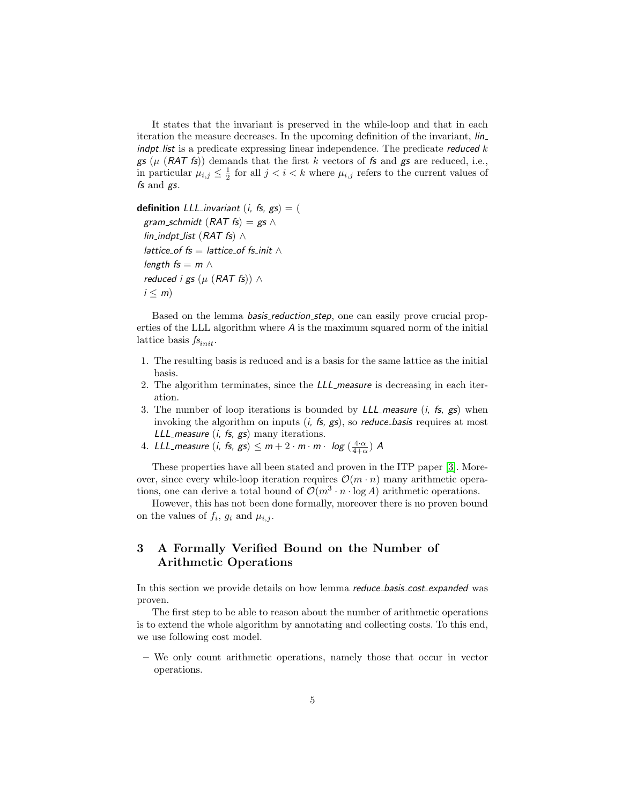It states that the invariant is preserved in the while-loop and that in each iteration the measure decreases. In the upcoming definition of the invariant, lin  $\mathbf{i}$  indpt list is a predicate expressing linear independence. The predicate reduced k gs ( $\mu$  (RAT fs)) demands that the first k vectors of fs and gs are reduced, i.e., in particular  $\mu_{i,j} \leq \frac{1}{2}$  for all  $j < i < k$  where  $\mu_{i,j}$  refers to the current values of fs and gs.

definition *LLL* invariant (*i*, *fs*,  $gs$ ) = ( gram\_schmidt (RAT fs) = gs  $\wedge$ lin\_indpt\_list (RAT fs)  $\wedge$ lattice\_of  $fs =$  lattice\_of  $fs$ \_init  $\wedge$ length  $fs = m \wedge$ reduced i gs ( $\mu$  (RAT fs)) ∧  $i \leq m$ )

Based on the lemma *basis reduction step*, one can easily prove crucial properties of the LLL algorithm where A is the maximum squared norm of the initial lattice basis  $f_{s_{init}}$ .

- 1. The resulting basis is reduced and is a basis for the same lattice as the initial basis.
- 2. The algorithm terminates, since the *LLL* measure is decreasing in each iteration.
- 3. The number of loop iterations is bounded by  $LLL$  measure (*i*, fs, gs) when invoking the algorithm on inputs  $(i, fs, gs)$ , so *reduce basis* requires at most LLL measure  $(i, fs, gs)$  many iterations.
- 4. LLL\_measure  $(i, fs, gs) \le m + 2 \cdot m \cdot m \cdot log\left(\frac{4 \cdot \alpha}{4 + \alpha}\right)$  A

These properties have all been stated and proven in the ITP paper [\[3\]](#page-11-3). Moreover, since every while-loop iteration requires  $\mathcal{O}(m \cdot n)$  many arithmetic operations, one can derive a total bound of  $\mathcal{O}(m^3 \cdot n \cdot \log A)$  arithmetic operations.

However, this has not been done formally, moreover there is no proven bound on the values of  $f_i$ ,  $g_i$  and  $\mu_{i,j}$ .

# <span id="page-4-0"></span>3 A Formally Verified Bound on the Number of Arithmetic Operations

In this section we provide details on how lemma *reduce basis cost expanded* was proven.

The first step to be able to reason about the number of arithmetic operations is to extend the whole algorithm by annotating and collecting costs. To this end, we use following cost model.

– We only count arithmetic operations, namely those that occur in vector operations.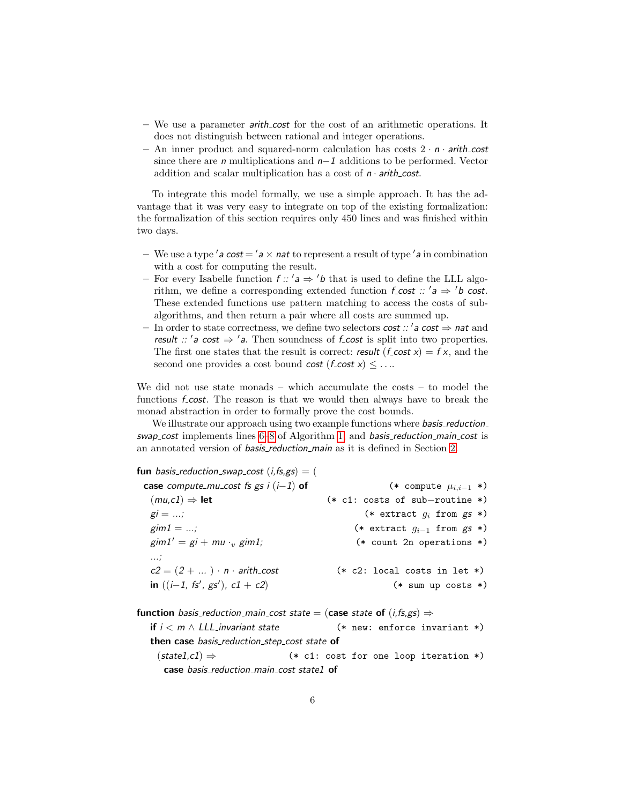- We use a parameter arith cost for the cost of an arithmetic operations. It does not distinguish between rational and integer operations.
- An inner product and squared-norm calculation has costs  $2 \cdot n \cdot$  arith-cost since there are n multiplications and n−1 additions to be performed. Vector addition and scalar multiplication has a cost of  $n \cdot$  arith cost.

To integrate this model formally, we use a simple approach. It has the advantage that it was very easy to integrate on top of the existing formalization: the formalization of this section requires only 450 lines and was finished within two days.

- We use a type 'a cost = 'a  $\times$  nat to represent a result of type 'a in combination with a cost for computing the result.
- For every Isabelle function  $f$  :: ' $a \Rightarrow 'b$  that is used to define the LLL algorithm, we define a corresponding extended function  $f\text{-}cost :: 'a \Rightarrow 'b \text{ cost.}$ These extended functions use pattern matching to access the costs of subalgorithms, and then return a pair where all costs are summed up.
- In order to state correctness, we define two selectors *cost :: 'a cost*  $\Rightarrow$  *nat* and result ::  $'a \cos t \Rightarrow 'a$ . Then soundness of f cost is split into two properties. The first one states that the result is correct: result  $(f\text{-}cost x) = f x$ , and the second one provides a cost bound cost  $(f\text{-}cost x) \leq ...$

We did not use state monads – which accumulate the costs – to model the functions *f* cost. The reason is that we would then always have to break the monad abstraction in order to formally prove the cost bounds.

We illustrate our approach using two example functions where *basis\_reduction\_* swap cost implements lines [6](#page-2-4)[–8](#page-2-5) of Algorithm [1,](#page-2-1) and basis reduction main cost is an annotated version of *basis reduction main* as it is defined in Section [2.](#page-2-0)

fun basis\_reduction\_swap\_cost  $(i, fs, gs) = ($ case compute\_mu\_cost fs gs i (i-1) of  $(*$  compute  $\mu_{i,i-1} *$  $(mu, c1) \Rightarrow$  let (\* c1: costs of sub-routine \*)  $gi = ...;$  (\* extract  $q_i$  from gs \*)  $\text{gim1} = ...;$  (\* extract  $g_{i-1}$  from gs \*)  $\text{gim1}' = \text{gi} + \text{mu} \cdot \text{gim1};$  (\* count 2n operations \*) ...;  $c2 = (2 + ...) \cdot n \cdot \text{arith-cost}$  (\* c2: local costs in let \*) in  $((i-1, fs', gs')$  $(*$  sum up costs  $*)$ 

**function** basis\_reduction\_main\_cost state = (case state of  $(i, fs, gs) \Rightarrow$ if  $i < m \wedge LL$  invariant state (\* new: enforce invariant \*) then case basis\_reduction\_step\_cost state of  $(statel, c1) \Rightarrow$  (\* c1: cost for one loop iteration \*) case basis\_reduction\_main\_cost state1 of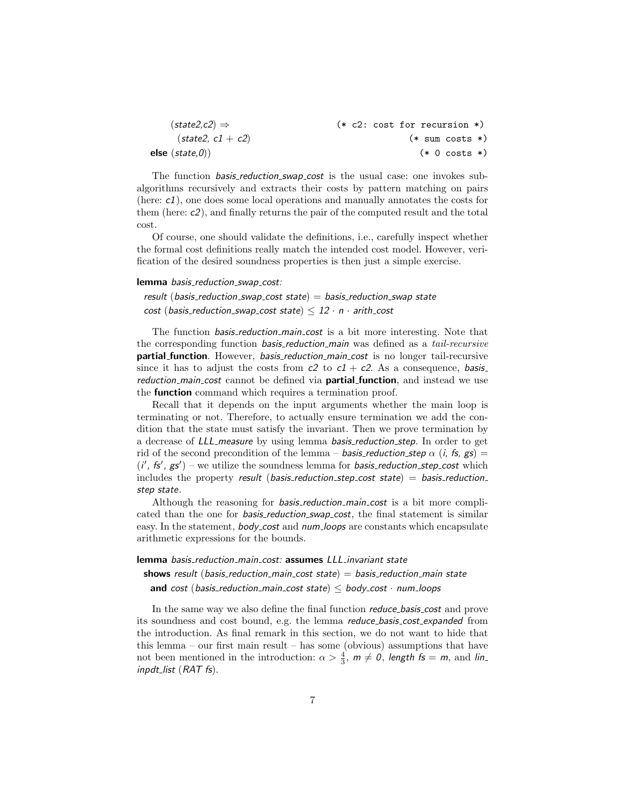| $(state2,c2) \Rightarrow$ | $(* c2: cost for recursion *)$ |
|---------------------------|--------------------------------|
| $(state2, c1 + c2)$       | $(*$ sum costs $*)$            |
| else $(state, 0)$         | $(* 0 \text{ costs } *)$       |

The function *basis reduction swap cost* is the usual case: one invokes subalgorithms recursively and extracts their costs by pattern matching on pairs (here: c1), one does some local operations and manually annotates the costs for them (here: c2), and finally returns the pair of the computed result and the total cost.

Of course, one should validate the definitions, i.e., carefully inspect whether the formal cost definitions really match the intended cost model. However, verification of the desired soundness properties is then just a simple exercise.

## lemma basis\_reduction\_swap\_cost:

result (basis\_reduction\_swap\_cost state)  $=$  basis\_reduction\_swap state cost (basis\_reduction\_swap\_cost state)  $\leq 12 \cdot n \cdot$  arith\_cost

The function *basis\_reduction\_main\_cost* is a bit more interesting. Note that the corresponding function *basis reduction main* was defined as a *tail-recursive* **partial\_function**. However, *basis\_reduction\_main\_cost* is no longer tail-recursive since it has to adjust the costs from  $c^2$  to  $c^2 + c^2$ . As a consequence, basis reduction main cost cannot be defined via **partial function**, and instead we use the **function** command which requires a termination proof.

Recall that it depends on the input arguments whether the main loop is terminating or not. Therefore, to actually ensure termination we add the condition that the state must satisfy the invariant. Then we prove termination by a decrease of *LLL* measure by using lemma *basis reduction step*. In order to get rid of the second precondition of the lemma – **basis** reduction step  $\alpha$  (i, fs, gs) =  $(i', f s', g s')$  – we utilize the soundness lemma for basis\_reduction\_step\_cost which includes the property result (basis reduction step cost state) = basis reduction step state.

Although the reasoning for *basis\_reduction\_main\_cost* is a bit more complicated than the one for *basis\_reduction\_swap\_cost*, the final statement is similar easy. In the statement, *body\_cost* and *num\_loops* are constants which encapsulate arithmetic expressions for the bounds.

lemma basis\_reduction\_main\_cost: assumes LLL\_invariant state

shows result (basis\_reduction\_main\_cost state) = basis\_reduction\_main state and cost (basis\_reduction\_main\_cost state)  $\leq$  body\_cost  $\cdot$  num\_loops

In the same way we also define the final function reduce basis cost and prove its soundness and cost bound, e.g. the lemma reduce basis cost expanded from the introduction. As final remark in this section, we do not want to hide that this lemma – our first main result – has some (obvious) assumptions that have not been mentioned in the introduction:  $\alpha > \frac{4}{3}$ ,  $m \neq 0$ , length fs = m, and lin inpdt\_list (RAT fs).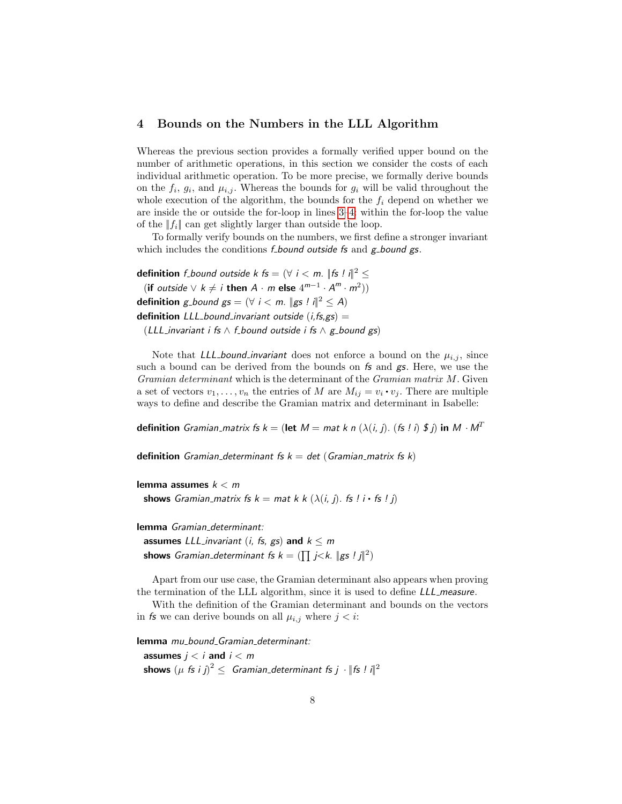## <span id="page-7-0"></span>4 Bounds on the Numbers in the LLL Algorithm

Whereas the previous section provides a formally verified upper bound on the number of arithmetic operations, in this section we consider the costs of each individual arithmetic operation. To be more precise, we formally derive bounds on the  $f_i$ ,  $g_i$ , and  $\mu_{i,j}$ . Whereas the bounds for  $g_i$  will be valid throughout the whole execution of the algorithm, the bounds for the  $f_i$  depend on whether we are inside the or outside the for-loop in lines [3–](#page-2-2)[4:](#page-2-6) within the for-loop the value of the  $||f_i||$  can get slightly larger than outside the loop.

To formally verify bounds on the numbers, we first define a stronger invariant which includes the conditions  $f_{\text{bound}}$  outside fs and  $g_{\text{bound}}$  gs.

**definition** f bound outside k fs =  $(\forall i < m)$ .  $\|$  fs !  $i\|^2 \le$ (if outside  $\vee k \neq i$  then  $A \cdot m$  else  $4^{m-1} \cdot A^m \cdot m^2$ )) **definition** g\_bound gs =  $(\forall i < m$ . ||gs ! i||<sup>2</sup>  $\leq$  A) **definition** LLL bound invariant outside  $(i, fs, gs) =$ (LLL\_invariant i fs  $\wedge$  f\_bound outside i fs  $\wedge$  g\_bound gs)

Note that LLL bound invariant does not enforce a bound on the  $\mu_{i,j}$ , since such a bound can be derived from the bounds on  $f_s$  and  $g_s$ . Here, we use the Gramian determinant which is the determinant of the Gramian matrix M. Given a set of vectors  $v_1, \ldots, v_n$  the entries of M are  $M_{ij} = v_i \cdot v_j$ . There are multiple ways to define and describe the Gramian matrix and determinant in Isabelle:

definition *Gramian\_matrix fs k* = (let  $M=$  mat k n ( $\lambda(i,j)$ . (fs ! i)  $\oint j$ ) in  $M\cdot M^T$ 

definition Gramian determinant fs  $k = det$  (Gramian matrix fs k)

lemma assumes  $k < m$ shows Gramian matrix fs  $k = mat k k (\lambda(i, i))$ . fs  $(i \cdot fs(i)$ 

lemma Gramian determinant:

assumes LLL invariant (i, fs, gs) and  $k \le m$ shows *Gramian\_determinant fs k* =  $(\prod j < k$ . ||gs !  $j$ ||<sup>2</sup>)

Apart from our use case, the Gramian determinant also appears when proving the termination of the LLL algorithm, since it is used to define LLL measure.

With the definition of the Gramian determinant and bounds on the vectors in fs we can derive bounds on all  $\mu_{i,j}$  where  $j < i$ :

lemma mu\_bound\_Gramian\_determinant:

assumes  $i < i$  and  $i < m$ shows  ${(\mu\; f\!s\; i\; j)}^2 \leq \; G$ ramian\_determinant fs  $j\;\cdot\; \|f\!s\;!\; i\|^2$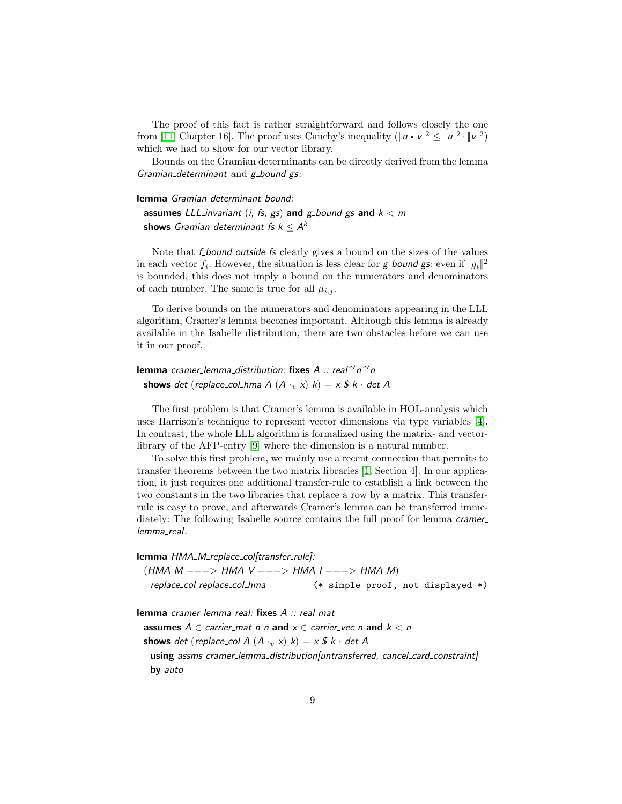The proof of this fact is rather straightforward and follows closely the one from [\[11,](#page-11-6) Chapter 16]. The proof uses Cauchy's inequality  $(\|u \cdot v\|^2 \leq \|u\|^2 \cdot \|v\|^2)$ which we had to show for our vector library.

Bounds on the Gramian determinants can be directly derived from the lemma Gramian determinant and  $g$ -bound  $gs$ :

## lemma Gramian determinant bound:

assumes LLL invariant (i, fs, gs) and g bound gs and  $k < m$  ${\sf shows}$  Gramian\_determinant fs  $k\leq \textit{A}^k$ 

Note that *f* bound outside *fs* clearly gives a bound on the sizes of the values in each vector  $f_i$ . However, the situation is less clear for **g**-bound **gs**: even if  $||g_i||^2$ is bounded, this does not imply a bound on the numerators and denominators of each number. The same is true for all  $\mu_{i,j}$ .

To derive bounds on the numerators and denominators appearing in the LLL algorithm, Cramer's lemma becomes important. Although this lemma is already available in the Isabelle distribution, there are two obstacles before we can use it in our proof.

lemma cramer\_lemma\_distribution: fixes  $A :: real^{\prime\prime}n^{\prime\prime}n$ shows det (replace\_col\_hma A  $(A \cdot v x)$  k) = x \$ k · det A

The first problem is that Cramer's lemma is available in HOL-analysis which uses Harrison's technique to represent vector dimensions via type variables [\[4\]](#page-11-8). In contrast, the whole LLL algorithm is formalized using the matrix- and vectorlibrary of the AFP-entry [\[9\]](#page-11-9) where the dimension is a natural number.

To solve this first problem, we mainly use a recent connection that permits to transfer theorems between the two matrix libraries [\[1,](#page-11-10) Section 4]. In our application, it just requires one additional transfer-rule to establish a link between the two constants in the two libraries that replace a row by a matrix. This transferrule is easy to prove, and afterwards Cramer's lemma can be transferred immediately: The following Isabelle source contains the full proof for lemma *cramer* lemma\_real.

#### lemma HMA\_M\_replace\_col[transfer\_rule]:

| (HMA_M ===> HMA_V ===> HMA_I ===> HMA_M) |  |  |                                   |  |
|------------------------------------------|--|--|-----------------------------------|--|
| replace_col replace_col_hma              |  |  | (* simple proof, not displayed *) |  |

lemma cramer\_lemma\_real: fixes A :: real mat

assumes  $A \in$  carrier\_mat n n and  $x \in$  carrier\_vec n and  $k < n$ 

shows det (replace\_col A  $(A \cdot v x)$  k) =  $x$  \$ k · det A

using assms cramer\_lemma\_distribution[untransferred, cancel\_card\_constraint] by auto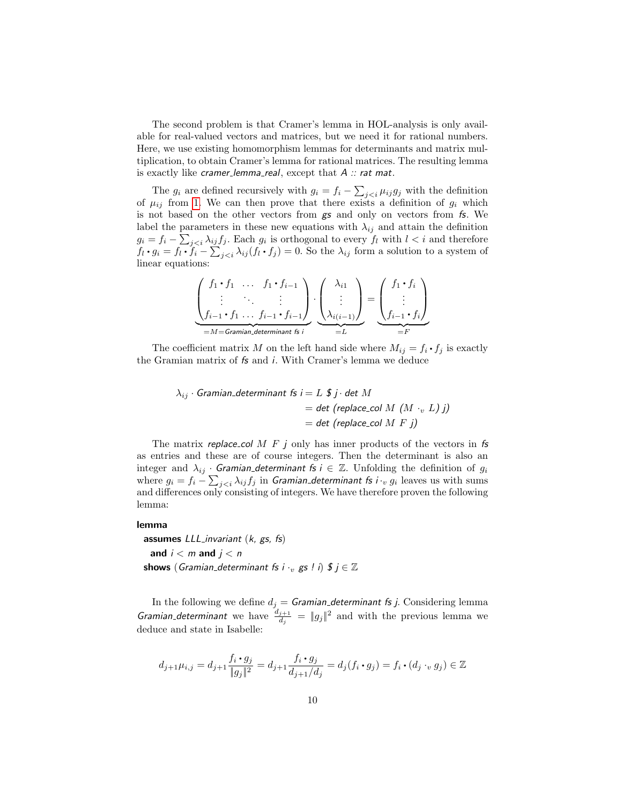The second problem is that Cramer's lemma in HOL-analysis is only available for real-valued vectors and matrices, but we need it for rational numbers. Here, we use existing homomorphism lemmas for determinants and matrix multiplication, to obtain Cramer's lemma for rational matrices. The resulting lemma is exactly like cramer\_lemma\_real, except that  $A$  :: rat mat.

The  $g_i$  are defined recursively with  $g_i = f_i - \sum_{j with the definition$ of  $\mu_{ij}$  from [1.](#page-2-7) We can then prove that there exists a definition of  $g_i$  which is not based on the other vectors from gs and only on vectors from fs. We label the parameters in these new equations with  $\lambda_{ij}$  and attain the definition  $g_i = f_i - \sum_{j < i} \lambda_{ij} f_j$ . Each  $g_i$  is orthogonal to every  $f_l$  with  $l < i$  and therefore  $f_l \cdot g_i = f_l \cdot \dot{f}_i - \sum_{j So the  $\lambda_{ij}$  form a solution to a system of$ linear equations:

$$
\underbrace{\begin{pmatrix} f_1 \cdot f_1 & \dots & f_1 \cdot f_{i-1} \\ \vdots & \ddots & \vdots \\ f_{i-1} \cdot f_1 & \dots & f_{i-1} \cdot f_{i-1} \end{pmatrix}}_{=M=\text{Gramian-determinant }fs} \cdot \underbrace{\begin{pmatrix} \lambda_{i1} \\ \vdots \\ \lambda_{i(i-1)} \end{pmatrix}}_{=L} = \underbrace{\begin{pmatrix} f_1 \cdot f_i \\ \vdots \\ f_{i-1} \cdot f_i \end{pmatrix}}_{=F}
$$

The coefficient matrix M on the left hand side where  $M_{ij} = f_i \cdot f_j$  is exactly the Gramian matrix of fs and i. With Cramer's lemma we deduce

$$
\lambda_{ij} \cdot \text{Gramian\_determinant fs } i = L \, \text{$ j \cdot det $M$}
$$
\n
$$
= \det \text{ (replace\_col $M \, (M \cdot_v \, L) \, j$)}
$$
\n
$$
= \det \text{ (replace\_col $M \, F \, j$)}
$$

The matrix replace col M  $F$  j only has inner products of the vectors in fs as entries and these are of course integers. Then the determinant is also an integer and  $\lambda_{ij}$  · Gramian determinant fs  $i \in \mathbb{Z}$ . Unfolding the definition of  $g_i$ where  $g_i = f_i - \sum_{j < i} \lambda_{ij} f_j$  in Gramian determinant fs i  $\cdot_v \ g_i$  leaves us with sums and differences only consisting of integers. We have therefore proven the following lemma:

## lemma

assumes  $LLL$  invariant  $(k, gs, fs)$ and  $i < m$  and  $j < n$ shows (Gramian determinant fs i  $\cdot_v$  gs ! i)  $\mathfrak{F}$  j  $\in \mathbb{Z}$ 

In the following we define  $d_j = \textit{Gramian}\_\textit{determinant}$  fs j. Considering lemma Gramian determinant we have  $\frac{d_{j+1}}{d_j} = ||g_j||^2$  and with the previous lemma we deduce and state in Isabelle:

$$
d_{j+1}\mu_{i,j} = d_{j+1} \frac{f_i \cdot g_j}{\|g_j\|^2} = d_{j+1} \frac{f_i \cdot g_j}{d_{j+1}/d_j} = d_j(f_i \cdot g_j) = f_i \cdot (d_j \cdot_v g_j) \in \mathbb{Z}
$$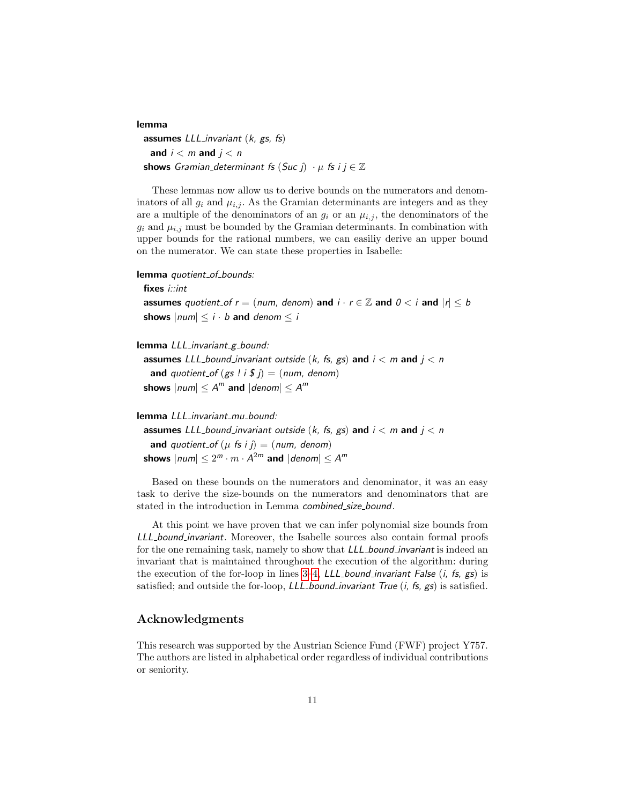lemma assumes  $LL$ Linvariant  $(k, gs, fs)$ and  $i < m$  and  $j < n$ shows Gramian\_determinant fs  $(Suc j) \cdot \mu$  fs  $i j \in \mathbb{Z}$ 

These lemmas now allow us to derive bounds on the numerators and denominators of all  $g_i$  and  $\mu_{i,j}$ . As the Gramian determinants are integers and as they are a multiple of the denominators of an  $g_i$  or an  $\mu_{i,j}$ , the denominators of the  $g_i$  and  $\mu_{i,j}$  must be bounded by the Gramian determinants. In combination with upper bounds for the rational numbers, we can easiliy derive an upper bound on the numerator. We can state these properties in Isabelle:

```
lemma quotient_of_bounds:
```
fixes *i::int* 

assumes quotient of  $r = (num, denom)$  and  $i \cdot r \in \mathbb{Z}$  and  $0 < i$  and  $|r| \leq b$ shows  $|num| \leq i \cdot b$  and denom  $\leq i$ 

```
lemma LLL_invariant_g_bound:
```
assumes LLL bound invariant outside (k, fs, gs) and  $i < m$  and  $j < n$ and quotient of  $(gs \, | \, i \, \$ \, j) = (num, \, denom)$ shows  $|num| \leq A^m$  and  $|denom| \leq A^m$ 

lemma LLL\_invariant\_mu\_bound:

assumes LLL\_bound\_invariant outside (k, fs, gs) and  $i < m$  and  $j < n$ and quotient of  $(\mu \text{ fs } i j) = (num, denom)$ shows  $|num| \leq 2^m \cdot m \cdot \mathcal{A}^{2m}$  and  $|denom| \leq \mathcal{A}^m$ 

Based on these bounds on the numerators and denominator, it was an easy task to derive the size-bounds on the numerators and denominators that are stated in the introduction in Lemma combined size bound.

At this point we have proven that we can infer polynomial size bounds from LLL bound invariant. Moreover, the Isabelle sources also contain formal proofs for the one remaining task, namely to show that *LLL bound invariant* is indeed an invariant that is maintained throughout the execution of the algorithm: during the execution of the for-loop in lines  $3-4$ , LLL bound invariant False  $(i, fs, gs)$  is satisfied; and outside the for-loop,  $LLL$ -bound invariant True  $(i, fs, gs)$  is satisfied.

# Acknowledgments

This research was supported by the Austrian Science Fund (FWF) project Y757. The authors are listed in alphabetical order regardless of individual contributions or seniority.